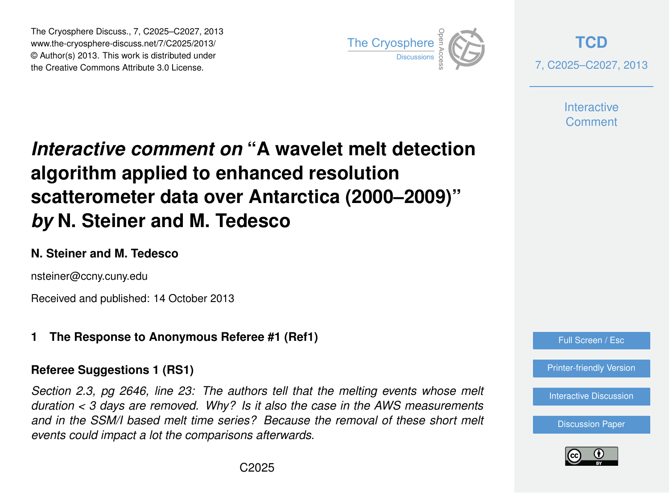The Cryosphere Discuss., 7, C2025–C2027, 2013 www.the-cryosphere-discuss.net/7/C2025/2013/ www.the-cryosphere-discuss.het///C2023/2013/<br>© Author(s) 2013. This work is distributed under the Creative Commons Attribute 3.0 License.



**[TCD](http://www.the-cryosphere-discuss.net)** 7, C2025–C2027, 2013

> **Interactive Comment**

# *Interactive comment on* **"A wavelet melt detection algorithm applied to enhanced resolution scatterometer data over Antarctica (2000–2009)"** *by* **N. Steiner and M. Tedesco**

# **N. Steiner and M. Tedesco**

nsteiner@ccny.cuny.edu

Received and published: 14 October 2013

# **1 The Response to Anonymous Referee #1 (Ref1)**

# **Referee Suggestions 1 (RS1)**

*Section 2.3, pg 2646, line 23: The authors tell that the melting events whose melt duration < 3 days are removed. Why? Is it also the case in the AWS measurements* and in the SSM/I based melt time series? Because the removal of these short melt *events could impact a lot the comparisons afterwards.*



[Printer-friendly Version](http://www.the-cryosphere-discuss.net/7/C2025/2013/tcd-7-C2025-2013-print.pdf)

[Interactive Discussion](http://www.the-cryosphere-discuss.net/7/2635/2013/tcd-7-2635-2013-discussion.html)

[Discussion Paper](http://www.the-cryosphere-discuss.net/7/2635/2013/tcd-7-2635-2013.pdf)

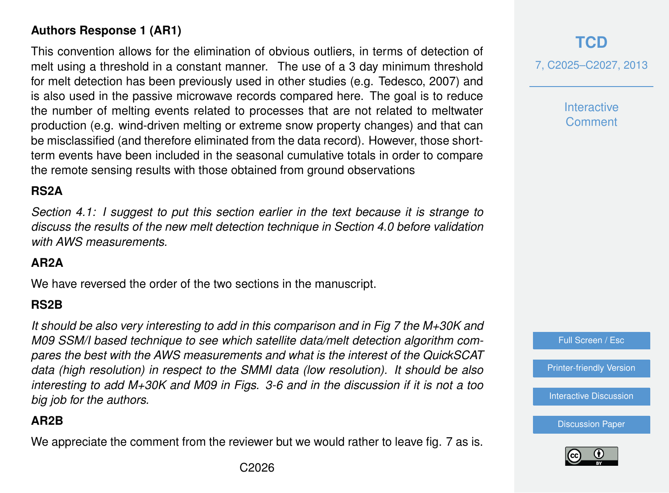# **Authors Response 1 (AR1)**

This convention allows for the elimination of obvious outliers, in terms of detection of melt using a threshold in a constant manner. The use of a 3 day minimum threshold for melt detection has been previously used in other studies (e.g. Tedesco, 2007) and is also used in the passive microwave records compared here. The goal is to reduce the number of melting events related to processes that are not related to meltwater production (e.g. wind-driven melting or extreme snow property changes) and that can be misclassified (and therefore eliminated from the data record). However, those shortterm events have been included in the seasonal cumulative totals in order to compare the remote sensing results with those obtained from ground observations

# **RS2A**

*Section 4.1: I suggest to put this section earlier in the text because it is strange to discuss the results of the new melt detection technique in Section 4.0 before validation with AWS measurements.*

## **AR2A**

We have reversed the order of the two sections in the manuscript.

#### **RS2B**

*It should be also very interesting to add in this comparison and in Fig 7 the M+30K and M09 SSM/I based technique to see which satellite data/melt detection algorithm compares the best with the AWS measurements and what is the interest of the QuickSCAT data (high resolution) in respect to the SMMI data (low resolution). It should be also interesting to add M+30K and M09 in Figs. 3-6 and in the discussion if it is not a too big job for the authors.*

#### **AR2B**

We appreciate the comment from the reviewer but we would rather to leave fig. 7 as is.

# **[TCD](http://www.the-cryosphere-discuss.net)**

7, C2025–C2027, 2013

**Interactive Comment**